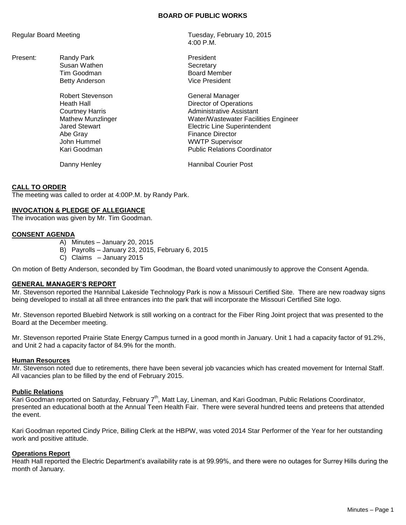## **BOARD OF PUBLIC WORKS**

Present: Randy Park **President** Susan Wathen **Susan Wathen** Secretary

> Robert Stevenson General Manager Abe Gray **Finance Director** John Hummel WWTP Supervisor

Regular Board Meeting Tuesday, February 10, 2015 4:00 P.M.

> Tim Goodman and Board Member Betty Anderson **Vice President**

Heath Hall Director of Operations Courtney Harris **Administrative Assistant** Mathew Munzlinger Water/Wastewater Facilities Engineer Jared Stewart Electric Line Superintendent **Public Relations Coordinator** 

Danny Henley **Hannibal Courier Post** 

## **CALL TO ORDER**

The meeting was called to order at 4:00P.M. by Randy Park.

## **INVOCATION & PLEDGE OF ALLEGIANCE**

The invocation was given by Mr. Tim Goodman.

## **CONSENT AGENDA**

- A) Minutes January 20, 2015
- B) Payrolls January 23, 2015, February 6, 2015
- C) Claims January 2015

On motion of Betty Anderson, seconded by Tim Goodman, the Board voted unanimously to approve the Consent Agenda.

#### **GENERAL MANAGER'S REPORT**

Mr. Stevenson reported the Hannibal Lakeside Technology Park is now a Missouri Certified Site. There are new roadway signs being developed to install at all three entrances into the park that will incorporate the Missouri Certified Site logo.

Mr. Stevenson reported Bluebird Network is still working on a contract for the Fiber Ring Joint project that was presented to the Board at the December meeting.

Mr. Stevenson reported Prairie State Energy Campus turned in a good month in January. Unit 1 had a capacity factor of 91.2%, and Unit 2 had a capacity factor of 84.9% for the month.

#### **Human Resources**

Mr. Stevenson noted due to retirements, there have been several job vacancies which has created movement for Internal Staff. All vacancies plan to be filled by the end of February 2015.

#### **Public Relations**

Kari Goodman reported on Saturday, February 7<sup>th</sup>, Matt Lay, Lineman, and Kari Goodman, Public Relations Coordinator, presented an educational booth at the Annual Teen Health Fair. There were several hundred teens and preteens that attended the event.

Kari Goodman reported Cindy Price, Billing Clerk at the HBPW, was voted 2014 Star Performer of the Year for her outstanding work and positive attitude.

#### **Operations Report**

Heath Hall reported the Electric Department's availability rate is at 99.99%, and there were no outages for Surrey Hills during the month of January.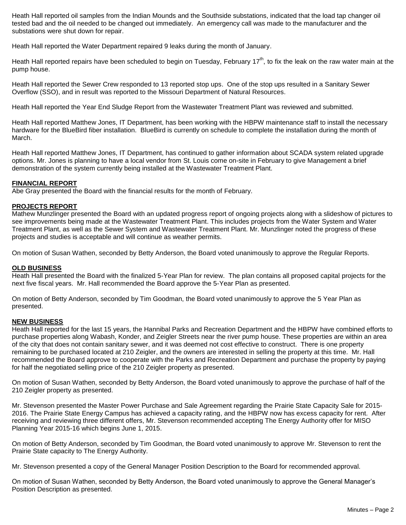Heath Hall reported oil samples from the Indian Mounds and the Southside substations, indicated that the load tap changer oil tested bad and the oil needed to be changed out immediately. An emergency call was made to the manufacturer and the substations were shut down for repair.

Heath Hall reported the Water Department repaired 9 leaks during the month of January.

Heath Hall reported repairs have been scheduled to begin on Tuesday, February 17<sup>th</sup>, to fix the leak on the raw water main at the pump house.

Heath Hall reported the Sewer Crew responded to 13 reported stop ups. One of the stop ups resulted in a Sanitary Sewer Overflow (SSO), and in result was reported to the Missouri Department of Natural Resources.

Heath Hall reported the Year End Sludge Report from the Wastewater Treatment Plant was reviewed and submitted.

Heath Hall reported Matthew Jones, IT Department, has been working with the HBPW maintenance staff to install the necessary hardware for the BlueBird fiber installation. BlueBird is currently on schedule to complete the installation during the month of March.

Heath Hall reported Matthew Jones, IT Department, has continued to gather information about SCADA system related upgrade options. Mr. Jones is planning to have a local vendor from St. Louis come on-site in February to give Management a brief demonstration of the system currently being installed at the Wastewater Treatment Plant.

# **FINANCIAL REPORT**

Abe Gray presented the Board with the financial results for the month of February.

# **PROJECTS REPORT**

Mathew Munzlinger presented the Board with an updated progress report of ongoing projects along with a slideshow of pictures to see improvements being made at the Wastewater Treatment Plant. This includes projects from the Water System and Water Treatment Plant, as well as the Sewer System and Wastewater Treatment Plant. Mr. Munzlinger noted the progress of these projects and studies is acceptable and will continue as weather permits.

On motion of Susan Wathen, seconded by Betty Anderson, the Board voted unanimously to approve the Regular Reports.

# **OLD BUSINESS**

Heath Hall presented the Board with the finalized 5-Year Plan for review. The plan contains all proposed capital projects for the next five fiscal years. Mr. Hall recommended the Board approve the 5-Year Plan as presented.

On motion of Betty Anderson, seconded by Tim Goodman, the Board voted unanimously to approve the 5 Year Plan as presented.

## **NEW BUSINESS**

Heath Hall reported for the last 15 years, the Hannibal Parks and Recreation Department and the HBPW have combined efforts to purchase properties along Wabash, Konder, and Zeigler Streets near the river pump house. These properties are within an area of the city that does not contain sanitary sewer, and it was deemed not cost effective to construct. There is one property remaining to be purchased located at 210 Zeigler, and the owners are interested in selling the property at this time. Mr. Hall recommended the Board approve to cooperate with the Parks and Recreation Department and purchase the property by paying for half the negotiated selling price of the 210 Zeigler property as presented.

On motion of Susan Wathen, seconded by Betty Anderson, the Board voted unanimously to approve the purchase of half of the 210 Zeigler property as presented.

Mr. Stevenson presented the Master Power Purchase and Sale Agreement regarding the Prairie State Capacity Sale for 2015- 2016. The Prairie State Energy Campus has achieved a capacity rating, and the HBPW now has excess capacity for rent. After receiving and reviewing three different offers, Mr. Stevenson recommended accepting The Energy Authority offer for MISO Planning Year 2015-16 which begins June 1, 2015.

On motion of Betty Anderson, seconded by Tim Goodman, the Board voted unanimously to approve Mr. Stevenson to rent the Prairie State capacity to The Energy Authority.

Mr. Stevenson presented a copy of the General Manager Position Description to the Board for recommended approval.

On motion of Susan Wathen, seconded by Betty Anderson, the Board voted unanimously to approve the General Manager's Position Description as presented.